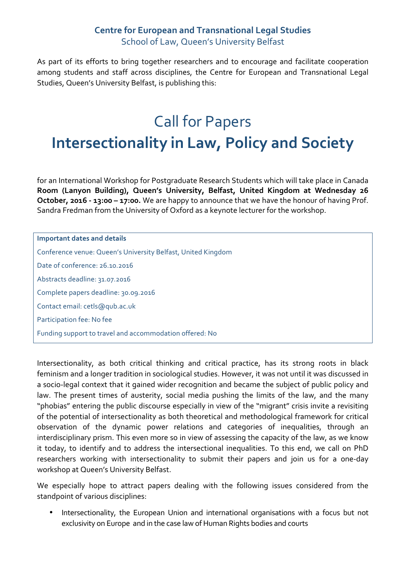## **Centre for European and Transnational Legal Studies** School of Law, Queen's University Belfast

As part of its efforts to bring together researchers and to encourage and facilitate cooperation among students and staff across disciplines, the Centre for European and Transnational Legal Studies, Queen's University Belfast, is publishing this:

## Call for Papers **Intersectionality in Law, Policy and Society**

for an International Workshop for Postgraduate Research Students which will take place in Canada **Room (Lanyon Building), Queen's University, Belfast, United Kingdom at Wednesday 26 October, 2016 - 13:00 – 17:00.** We are happy to announce that we have the honour of having Prof. Sandra Fredman from the University of Oxford as a keynote lecturer for the workshop.

**Important dates and details** Conference venue: Queen's University Belfast, United Kingdom Date of conference: 26.10.2016 Abstracts deadline: 31.07.2016 Complete papers deadline: 30.09.2016 Contact email: cetls@qub.ac.uk Participation fee: No fee Funding support to travel and accommodation offered: No

Intersectionality, as both critical thinking and critical practice, has its strong roots in black feminism and a longer tradition in sociological studies. However, it was not until it was discussed in a socio-legal context that it gained wider recognition and became the subject of public policy and law. The present times of austerity, social media pushing the limits of the law, and the many "phobias" entering the public discourse especially in view of the "migrant" crisis invite a revisiting of the potential of intersectionality as both theoretical and methodological framework for critical observation of the dynamic power relations and categories of inequalities, through an interdisciplinary prism. This even more so in view of assessing the capacity of the law, as we know it today, to identify and to address the intersectional inequalities. To this end, we call on PhD researchers working with intersectionality to submit their papers and join us for a one-day workshop at Queen's University Belfast.

We especially hope to attract papers dealing with the following issues considered from the standpoint of various disciplines:

• Intersectionality, the European Union and international organisations with a focus but not exclusivity on Europe and in the case law of Human Rights bodies and courts